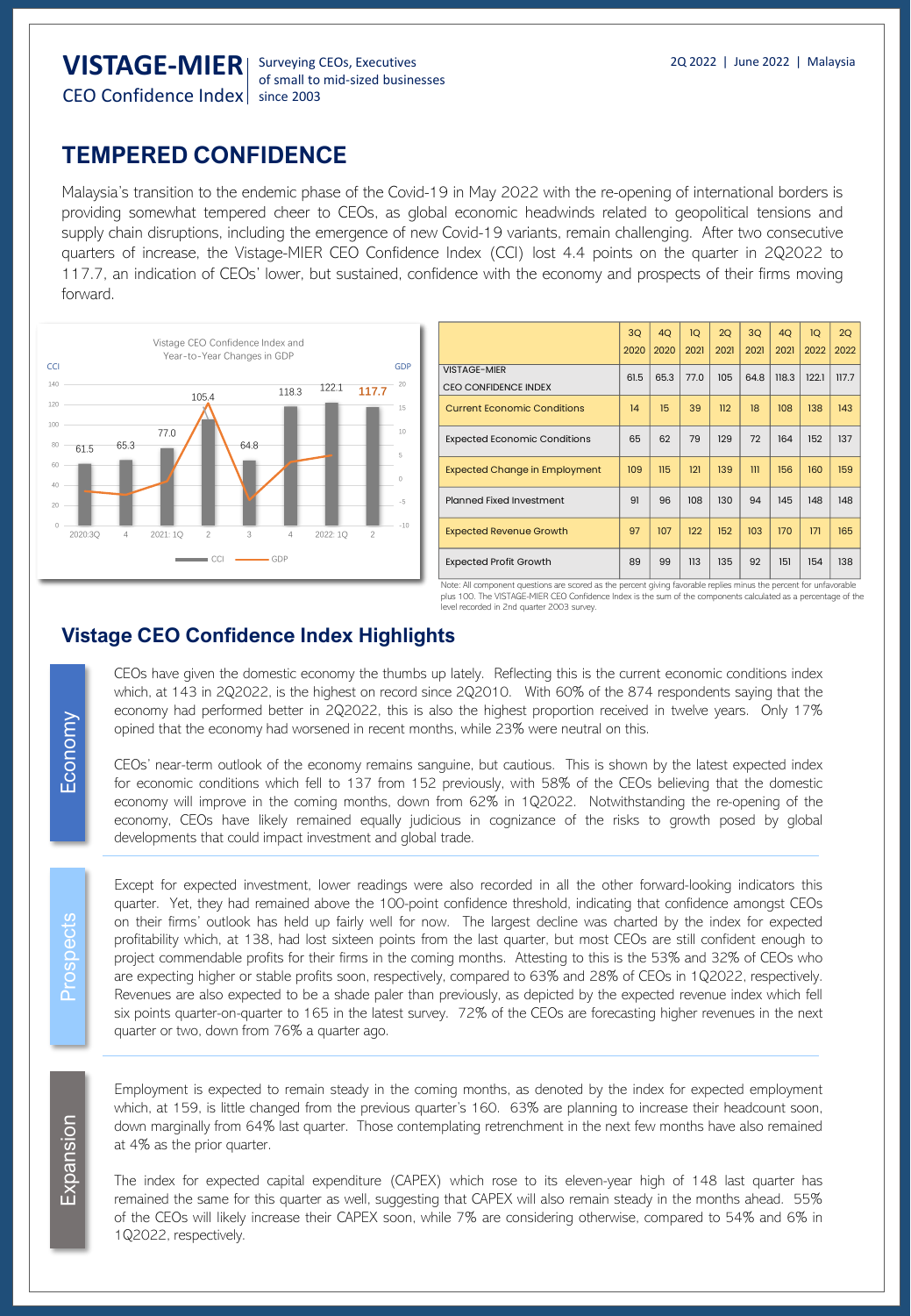# **TEMPERED CONFIDENCE**

Malaysia's transition to the endemic phase of the Covid-19 in May 2022 with the re-opening of international borders is providing somewhat tempered cheer to CEOs, as global economic headwinds related to geopolitical tensions and supply chain disruptions, including the emergence of new Covid-19 variants, remain challenging. After two consecutive quarters of increase, the Vistage-MIER CEO Confidence Index (CCI) lost 4.4 points on the quarter in 2Q2022 to 117.7, an indication of CEOs' lower, but sustained, confidence with the economy and prospects of their firms moving forward.



|                                                    | 3Q<br>2020 | 4Q<br>2020 | 1Q<br>2021 | 2Q<br>2021 | 3Q<br>2021              | 4Q<br>2021 | 1Q<br>2022 | 2Q<br>2022 |
|----------------------------------------------------|------------|------------|------------|------------|-------------------------|------------|------------|------------|
| <b>VISTAGE-MIER</b><br><b>CEO CONFIDENCE INDEX</b> | 61.5       | 65.3       | 77.0       | 105        | 64.8                    | 118.3      | 122.1      | 117.7      |
| <b>Current Economic Conditions</b>                 | 14         | 15         | 39         | 112        | 18                      | 108        | 138        | 143        |
| <b>Expected Economic Conditions</b>                | 65         | 62         | 79         | 129        | 72                      | 164        | 152        | 137        |
| <b>Expected Change in Employment</b>               | 109        | 115        | 121        | 139        | $\overline{\mathbf{m}}$ | 156        | 160        | 159        |
| Planned Fixed Investment                           | 91         | 96         | 108        | 130        | 94                      | 145        | 148        | 148        |
| <b>Expected Revenue Growth</b>                     | 97         | 107        | 122        | 152        | 103                     | 170        | 171        | 165        |
| <b>Expected Profit Growth</b>                      | 89         | 99         | 113        | 135        | 92                      | 151        | 154        | 138        |

Note: All component questions are scored as the percent giving favorable replies minus the percent for unfavorable<br>plus 100. The VISTAGE-MIER CEO Confidence Index is the sum of the components calculated as a percentage of level recorded in 2nd quarter 2003 survey.

## **Vistage CEO Confidence Index Highlights**

CEOs have given the domestic economy the thumbs up lately. Reflecting this is the current economic conditions index which, at 143 in 2Q2022, is the highest on record since 2Q2010. With 60% of the 874 respondents saying that the economy had performed better in 2Q2022, this is also the highest proportion received in twelve years. Only 17% opined that the economy had worsened in recent months, while 23% were neutral on this.

CEOs' near-term outlook of the economy remains sanguine, but cautious. This is shown by the latest expected index for economic conditions which fell to 137 from 152 previously, with 58% of the CEOs believing that the domestic economy will improve in the coming months, down from 62% in 1Q2022. Notwithstanding the re-opening of the economy, CEOs have likely remained equally judicious in cognizance of the risks to growth posed by global developments that could impact investment and global trade.

Except for expected investment, lower readings were also recorded in all the other forward-looking indicators this quarter. Yet, they had remained above the 100-point confidence threshold, indicating that confidence amongst CEOs on their firms' outlook has held up fairly well for now. The largest decline was charted by the index for expected profitability which, at 138, had lost sixteen points from the last quarter, but most CEOs are still confident enough to project commendable profits for their firms in the coming months. Attesting to this is the 53% and 32% of CEOs who are expecting higher or stable profits soon, respectively, compared to 63% and 28% of CEOs in 1Q2022, respectively. Revenues are also expected to be a shade paler than previously, as depicted by the expected revenue index which fell six points quarter-on-quarter to 165 in the latest survey. 72% of the CEOs are forecasting higher revenues in the next quarter or two, down from 76% a quarter ago.

Employment is expected to remain steady in the coming months, as denoted by the index for expected employment which, at 159, is little changed from the previous quarter's 160. 63% are planning to increase their headcount soon, down marginally from 64% last quarter. Those contemplating retrenchment in the next few months have also remained at 4% as the prior quarter.

The index for expected capital expenditure (CAPEX) which rose to its eleven-year high of 148 last quarter has remained the same for this quarter as well, suggesting that CAPEX will also remain steady in the months ahead. 55% of the CEOs will likely increase their CAPEX soon, while 7% are considering otherwise, compared to 54% and 6% in 1Q2022, respectively.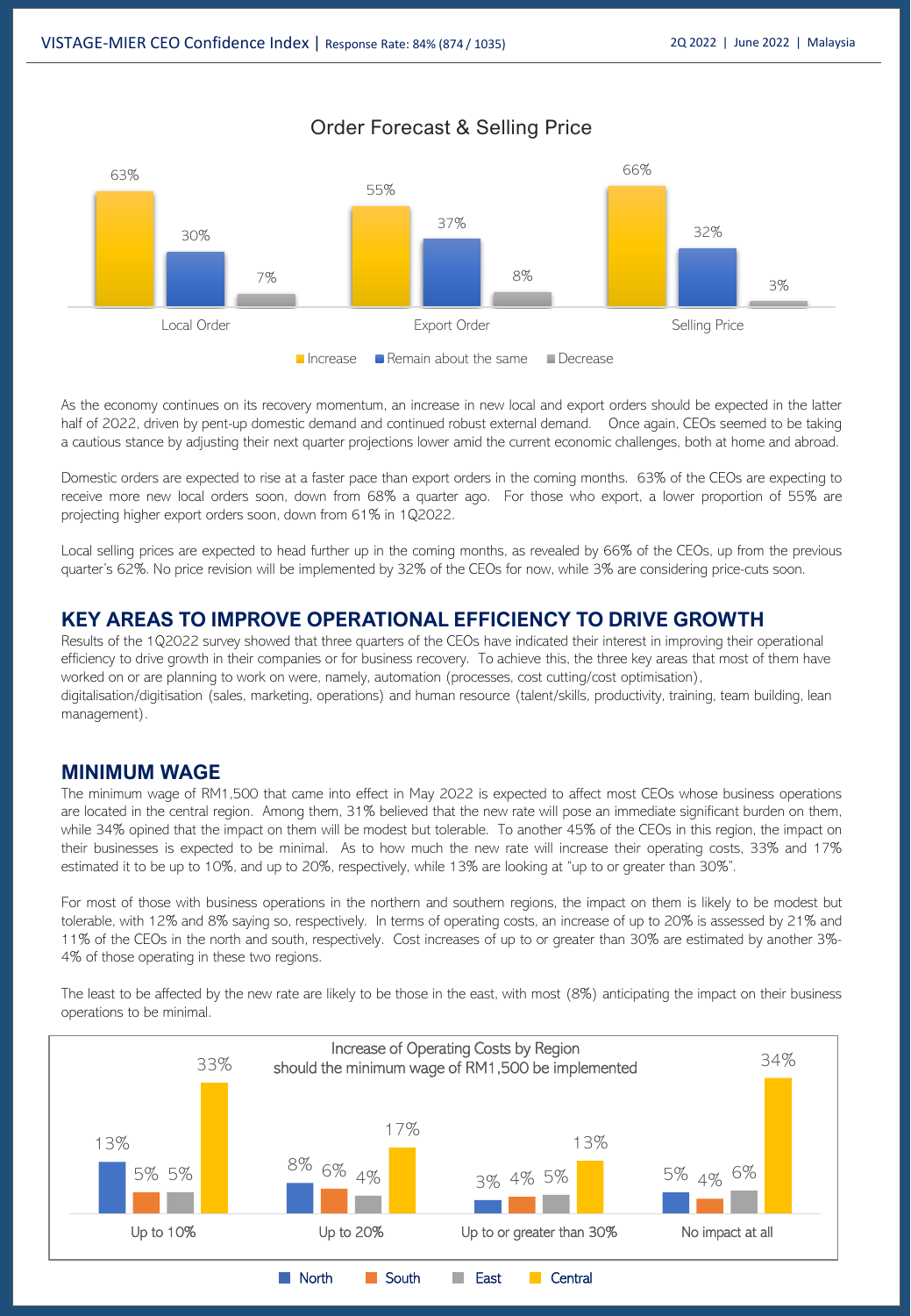Order Forecast & Selling Price



As the economy continues on its recovery momentum, an increase in new local and export orders should be expected in the latter half of 2022, driven by pent-up domestic demand and continued robust external demand. Once again, CEOs seemed to be taking a cautious stance by adjusting their next quarter projections lower amid the current economic challenges, both at home and abroad.

Domestic orders are expected to rise at a faster pace than export orders in the coming months. 63% of the CEOs are expecting to receive more new local orders soon, down from 68% a quarter ago. For those who export, a lower proportion of 55% are projecting higher export orders soon, down from 61% in 1Q2022.

Local selling prices are expected to head further up in the coming months, as revealed by 66% of the CEOs, up from the previous quarter's 62%. No price revision will be implemented by 32% of the CEOs for now, while 3% are considering price-cuts soon.

#### **KEY AREAS TO IMPROVE OPERATIONAL EFFICIENCY TO DRIVE GROWTH**

Results of the 1Q2022 survey showed that three quarters of the CEOs have indicated their interest in improving their operational efficiency to drive growth in their companies or for business recovery. To achieve this, the three key areas that most of them have worked on or are planning to work on were, namely, automation (processes, cost cutting/cost optimisation), digitalisation/digitisation (sales, marketing, operations) and human resource (talent/skills, productivity, training, team building, lean management).

#### **MINIMUM WAGE**

The minimum wage of RM1,500 that came into effect in May 2022 is expected to affect most CEOs whose business operations are located in the central region. Among them, 31% believed that the new rate will pose an immediate significant burden on them, while 34% opined that the impact on them will be modest but tolerable. To another 45% of the CEOs in this region, the impact on their businesses is expected to be minimal. As to how much the new rate will increase their operating costs, 33% and 17% estimated it to be up to 10%, and up to 20%, respectively, while 13% are looking at "up to or greater than 30%".

For most of those with business operations in the northern and southern regions, the impact on them is likely to be modest but tolerable, with 12% and 8% saying so, respectively. In terms of operating costs, an increase of up to 20% is assessed by 21% and 11% of the CEOs in the north and south, respectively. Cost increases of up to or greater than 30% are estimated by another 3%- 4% of those operating in these two regions.

The least to be affected by the new rate are likely to be those in the east, with most (8%) anticipating the impact on their business operations to be minimal.

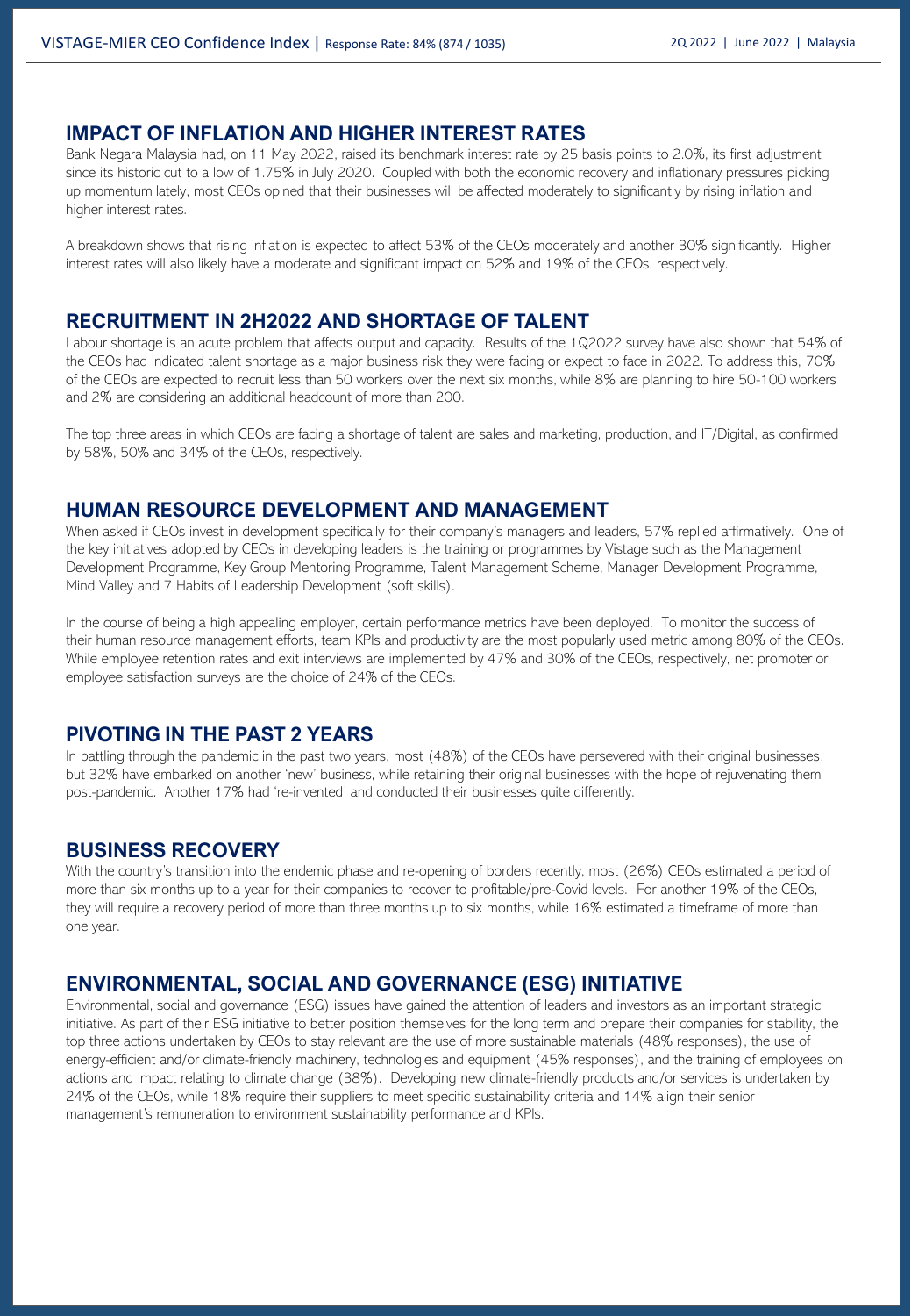#### **IMPACT OF INFLATION AND HIGHER INTEREST RATES**

Bank Negara Malaysia had, on 11 May 2022, raised its benchmark interest rate by 25 basis points to 2.0%, its first adjustment since its historic cut to a low of 1.75% in July 2020. Coupled with both the economic recovery and inflationary pressures picking up momentum lately, most CEOs opined that their businesses will be affected moderately to significantly by rising inflation and higher interest rates.

A breakdown shows that rising inflation is expected to affect 53% of the CEOs moderately and another 30% significantly. Higher interest rates will also likely have a moderate and significant impact on 52% and 19% of the CEOs, respectively.

#### **RECRUITMENT IN 2H2022 AND SHORTAGE OF TALENT**

Labour shortage is an acute problem that affects output and capacity. Results of the 1Q2022 survey have also shown that 54% of the CEOs had indicated talent shortage as a major business risk they were facing or expect to face in 2022. To address this, 70% of the CEOs are expected to recruit less than 50 workers over the next six months, while 8% are planning to hire 50-100 workers and 2% are considering an additional headcount of more than 200.

The top three areas in which CEOs are facing a shortage of talent are sales and marketing, production, and IT/Digital, as confirmed by 58%, 50% and 34% of the CEOs, respectively.

#### **HUMAN RESOURCE DEVELOPMENT AND MANAGEMENT**

When asked if CEOs invest in development specifically for their company's managers and leaders, 57% replied affirmatively. One of the key initiatives adopted by CEOs in developing leaders is the training or programmes by Vistage such as the Management Development Programme, Key Group Mentoring Programme, Talent Management Scheme, Manager Development Programme, Mind Valley and 7 Habits of Leadership Development (soft skills).

In the course of being a high appealing employer, certain performance metrics have been deployed. To monitor the success of their human resource management efforts, team KPIs and productivity are the most popularly used metric among 80% of the CEOs. While employee retention rates and exit interviews are implemented by 47% and 30% of the CEOs, respectively, net promoter or employee satisfaction surveys are the choice of 24% of the CEOs.

#### **PIVOTING IN THE PAST 2 YEARS**

In battling through the pandemic in the past two years, most (48%) of the CEOs have persevered with their original businesses, but 32% have embarked on another 'new' business, while retaining their original businesses with the hope of rejuvenating them post-pandemic. Another 17% had 're-invented' and conducted their businesses quite differently.

#### **BUSINESS RECOVERY**

With the country's transition into the endemic phase and re-opening of borders recently, most (26%) CEOs estimated a period of more than six months up to a year for their companies to recover to profitable/pre-Covid levels. For another 19% of the CEOs, they will require a recovery period of more than three months up to six months, while 16% estimated a timeframe of more than one year.

#### **ENVIRONMENTAL, SOCIAL AND GOVERNANCE (ESG) INITIATIVE**

Environmental, social and governance (ESG) issues have gained the attention of leaders and investors as an important strategic initiative. As part of their ESG initiative to better position themselves for the long term and prepare their companies for stability, the top three actions undertaken by CEOs to stay relevant are the use of more sustainable materials (48% responses), the use of energy-efficient and/or climate-friendly machinery, technologies and equipment (45% responses), and the training of employees on actions and impact relating to climate change (38%). Developing new climate-friendly products and/or services is undertaken by 24% of the CEOs, while 18% require their suppliers to meet specific sustainability criteria and 14% align their senior management's remuneration to environment sustainability performance and KPIs.